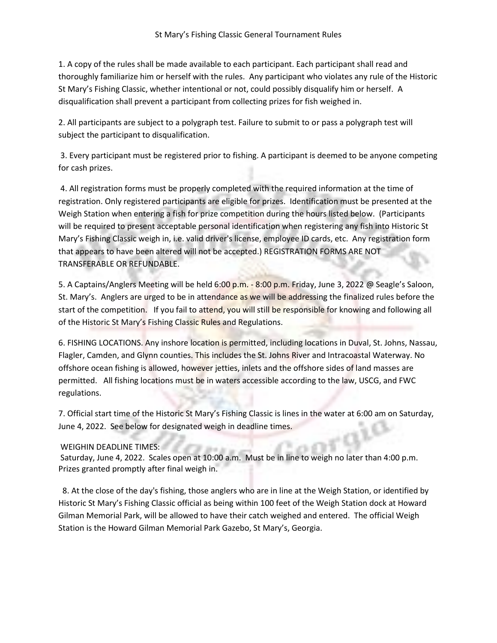1. A copy of the rules shall be made available to each participant. Each participant shall read and thoroughly familiarize him or herself with the rules. Any participant who violates any rule of the Historic St Mary's Fishing Classic, whether intentional or not, could possibly disqualify him or herself. A disqualification shall prevent a participant from collecting prizes for fish weighed in.

2. All participants are subject to a polygraph test. Failure to submit to or pass a polygraph test will subject the participant to disqualification.

3. Every participant must be registered prior to fishing. A participant is deemed to be anyone competing for cash prizes.

4. All registration forms must be properly completed with the required information at the time of registration. Only registered participants are eligible for prizes. Identification must be presented at the Weigh Station when entering a fish for prize competition during the hours listed below. (Participants will be required to present acceptable personal identification when registering any fish into Historic St Mary's Fishing Classic weigh in, i.e. valid driver's license, employee ID cards, etc. Any registration form that appears to have been altered will not be accepted.) REGISTRATION FORMS ARE NOT TRANSFERABLE OR REFUNDABLE.

5. A Captains/Anglers Meeting will be held 6:00 p.m. - 8:00 p.m. Friday, June 3, 2022 @ Seagle's Saloon, St. Mary's. Anglers are urged to be in attendance as we will be addressing the finalized rules before the start of the competition. If you fail to attend, you will still be responsible for knowing and following all of the Historic St Mary's Fishing Classic Rules and Regulations.

6. FISHING LOCATIONS. Any inshore location is permitted, including locations in Duval, St. Johns, Nassau, Flagler, Camden, and Glynn counties. This includes the St. Johns River and Intracoastal Waterway. No offshore ocean fishing is allowed, however jetties, inlets and the offshore sides of land masses are permitted. All fishing locations must be in waters accessible according to the law, USCG, and FWC regulations.

7. Official start time of the Historic St Mary's Fishing Classic is lines in the water at 6:00 am on Saturday, June 4, 2022. See below for designated weigh in deadline times.

## WEIGHIN DEADLINE TIMES:

Saturday, June 4, 2022. Scales open at 10:00 a.m. Must be in line to weigh no later than 4:00 p.m. Prizes granted promptly after final weigh in.

 8. At the close of the day's fishing, those anglers who are in line at the Weigh Station, or identified by Historic St Mary's Fishing Classic official as being within 100 feet of the Weigh Station dock at Howard Gilman Memorial Park, will be allowed to have their catch weighed and entered. The official Weigh Station is the Howard Gilman Memorial Park Gazebo, St Mary's, Georgia.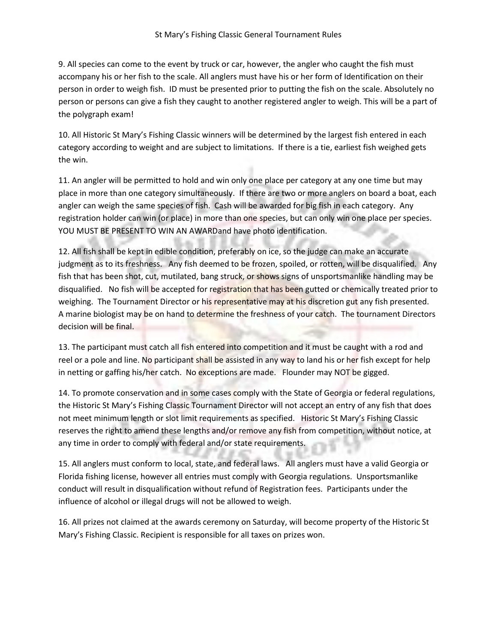9. All species can come to the event by truck or car, however, the angler who caught the fish must accompany his or her fish to the scale. All anglers must have his or her form of Identification on their person in order to weigh fish. ID must be presented prior to putting the fish on the scale. Absolutely no person or persons can give a fish they caught to another registered angler to weigh. This will be a part of the polygraph exam!

10. All Historic St Mary's Fishing Classic winners will be determined by the largest fish entered in each category according to weight and are subject to limitations. If there is a tie, earliest fish weighed gets the win.

11. An angler will be permitted to hold and win only one place per category at any one time but may place in more than one category simultaneously. If there are two or more anglers on board a boat, each angler can weigh the same species of fish. Cash will be awarded for big fish in each category. Any registration holder can win (or place) in more than one species, but can only win one place per species. YOU MUST BE PRESENT TO WIN AN AWARDand have photo identification.

12. All fish shall be kept in edible condition, preferably on ice, so the judge can make an accurate judgment as to its freshness. Any fish deemed to be frozen, spoiled, or rotten, will be disqualified. Any fish that has been shot, cut, mutilated, bang struck, or shows signs of unsportsmanlike handling may be disqualified. No fish will be accepted for registration that has been gutted or chemically treated prior to weighing. The Tournament Director or his representative may at his discretion gut any fish presented. A marine biologist may be on hand to determine the freshness of your catch. The tournament Directors decision will be final.

13. The participant must catch all fish entered into competition and it must be caught with a rod and reel or a pole and line. No participant shall be assisted in any way to land his or her fish except for help in netting or gaffing his/her catch. No exceptions are made. Flounder may NOT be gigged.

14. To promote conservation and in some cases comply with the State of Georgia or federal regulations, the Historic St Mary's Fishing Classic Tournament Director will not accept an entry of any fish that does not meet minimum length or slot limit requirements as specified. Historic St Mary's Fishing Classic reserves the right to amend these lengths and/or remove any fish from competition, without notice, at any time in order to comply with federal and/or state requirements.

15. All anglers must conform to local, state, and federal laws. All anglers must have a valid Georgia or Florida fishing license, however all entries must comply with Georgia regulations. Unsportsmanlike conduct will result in disqualification without refund of Registration fees. Participants under the influence of alcohol or illegal drugs will not be allowed to weigh.

16. All prizes not claimed at the awards ceremony on Saturday, will become property of the Historic St Mary's Fishing Classic. Recipient is responsible for all taxes on prizes won.